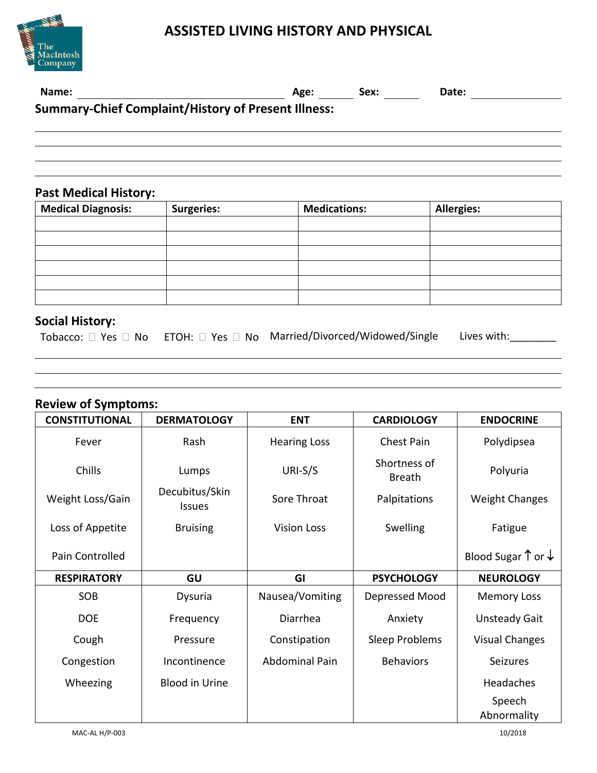



| Name:                                                      | Age: | Sex: | Date: |  |  |
|------------------------------------------------------------|------|------|-------|--|--|
| <b>Summary-Chief Complaint/History of Present Illness:</b> |      |      |       |  |  |
|                                                            |      |      |       |  |  |
|                                                            |      |      |       |  |  |
|                                                            |      |      |       |  |  |
|                                                            |      |      |       |  |  |
|                                                            |      |      |       |  |  |

## **Past Medical History:**

| <b>Medical Diagnosis:</b> | <b>Surgeries:</b> | <b>Medications:</b> | <b>Allergies:</b> |
|---------------------------|-------------------|---------------------|-------------------|
|                           |                   |                     |                   |
|                           |                   |                     |                   |
|                           |                   |                     |                   |
|                           |                   |                     |                   |
|                           |                   |                     |                   |
|                           |                   |                     |                   |

## **Social History:**

|  |  | Tobacco: $\square$ Yes $\square$ No ETOH: $\square$ Yes $\square$ No Married/Divorced/Widowed/Single Lives with: |  |
|--|--|------------------------------------------------------------------------------------------------------------------|--|
|--|--|------------------------------------------------------------------------------------------------------------------|--|

# **Review of Symptoms:**

| <b>CONSTITUTIONAL</b> | <b>DERMATOLOGY</b>              | <b>ENT</b>            | <b>CARDIOLOGY</b>             | <b>ENDOCRINE</b>                       |
|-----------------------|---------------------------------|-----------------------|-------------------------------|----------------------------------------|
| Fever                 | Rash                            | <b>Hearing Loss</b>   | <b>Chest Pain</b>             | Polydipsea                             |
| Chills                | Lumps                           | URI-S/S               | Shortness of<br><b>Breath</b> | Polyuria                               |
| Weight Loss/Gain      | Decubitus/Skin<br><b>Issues</b> | Sore Throat           | Palpitations                  | <b>Weight Changes</b>                  |
| Loss of Appetite      | <b>Bruising</b>                 | <b>Vision Loss</b>    | Swelling                      | Fatigue                                |
| Pain Controlled       |                                 |                       |                               | Blood Sugar $\uparrow$ or $\downarrow$ |
| <b>RESPIRATORY</b>    | GU                              | GI                    | <b>PSYCHOLOGY</b>             | <b>NEUROLOGY</b>                       |
| SOB                   | Dysuria                         | Nausea/Vomiting       | Depressed Mood                | <b>Memory Loss</b>                     |
| <b>DOE</b>            | Frequency                       | Diarrhea              | Anxiety                       | <b>Unsteady Gait</b>                   |
| Cough                 | Pressure                        | Constipation          | Sleep Problems                | <b>Visual Changes</b>                  |
| Congestion            | Incontinence                    | <b>Abdominal Pain</b> | <b>Behaviors</b>              | <b>Seizures</b>                        |
| Wheezing              | <b>Blood in Urine</b>           |                       |                               | Headaches                              |
|                       |                                 |                       |                               | Speech                                 |
|                       |                                 |                       |                               | Abnormality                            |